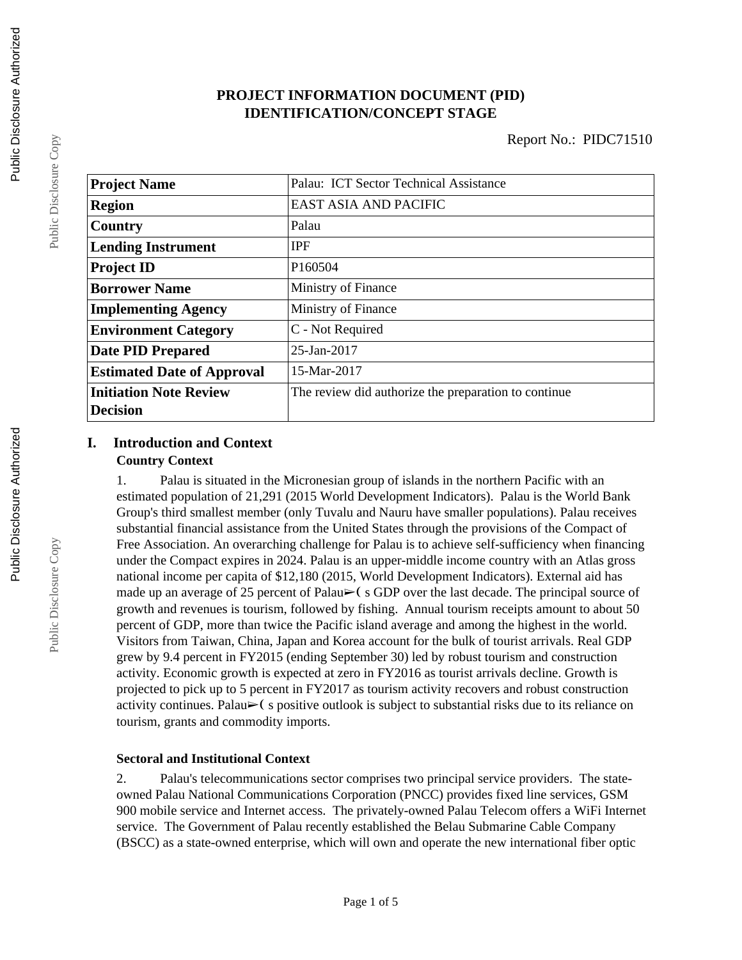## **PROJECT INFORMATION DOCUMENT (PID) IDENTIFICATION/CONCEPT STAGE**

| <b>Project Name</b>               | Palau: ICT Sector Technical Assistance               |
|-----------------------------------|------------------------------------------------------|
| <b>Region</b>                     | <b>EAST ASIA AND PACIFIC</b>                         |
| Country                           | Palau                                                |
| <b>Lending Instrument</b>         | <b>IPF</b>                                           |
| <b>Project ID</b>                 | P160504                                              |
| <b>Borrower Name</b>              | Ministry of Finance                                  |
| <b>Implementing Agency</b>        | Ministry of Finance                                  |
| <b>Environment Category</b>       | C - Not Required                                     |
| <b>Date PID Prepared</b>          | 25-Jan-2017                                          |
| <b>Estimated Date of Approval</b> | 15-Mar-2017                                          |
| <b>Initiation Note Review</b>     | The review did authorize the preparation to continue |
| <b>Decision</b>                   |                                                      |

## **I. Introduction and Context Country Context**

1. Palau is situated in the Micronesian group of islands in the northern Pacific with an estimated population of 21,291 (2015 World Development Indicators). Palau is the World Bank Group's third smallest member (only Tuvalu and Nauru have smaller populations). Palau receives substantial financial assistance from the United States through the provisions of the Compact of Free Association. An overarching challenge for Palau is to achieve self-sufficiency when financing under the Compact expires in 2024. Palau is an upper-middle income country with an Atlas gross national income per capita of \$12,180 (2015, World Development Indicators). External aid has made up an average of 25 percent of Palau $\blacktriangleright$  (s GDP over the last decade. The principal source of growth and revenues is tourism, followed by fishing. Annual tourism receipts amount to about 50 percent of GDP, more than twice the Pacific island average and among the highest in the world. Visitors from Taiwan, China, Japan and Korea account for the bulk of tourist arrivals. Real GDP grew by 9.4 percent in FY2015 (ending September 30) led by robust tourism and construction activity. Economic growth is expected at zero in FY2016 as tourist arrivals decline. Growth is projected to pick up to 5 percent in FY2017 as tourism activity recovers and robust construction activity continues. Palau $\triangleright$ ( s positive outlook is subject to substantial risks due to its reliance on tourism, grants and commodity imports.

## **Sectoral and Institutional Context**

2. Palau's telecommunications sector comprises two principal service providers. The stateowned Palau National Communications Corporation (PNCC) provides fixed line services, GSM 900 mobile service and Internet access. The privately-owned Palau Telecom offers a WiFi Internet service. The Government of Palau recently established the Belau Submarine Cable Company (BSCC) as a state-owned enterprise, which will own and operate the new international fiber optic

Public Disclosure Copy

Public Disclosure Copy

Public Disclosure Copy

Public Disclosure Copy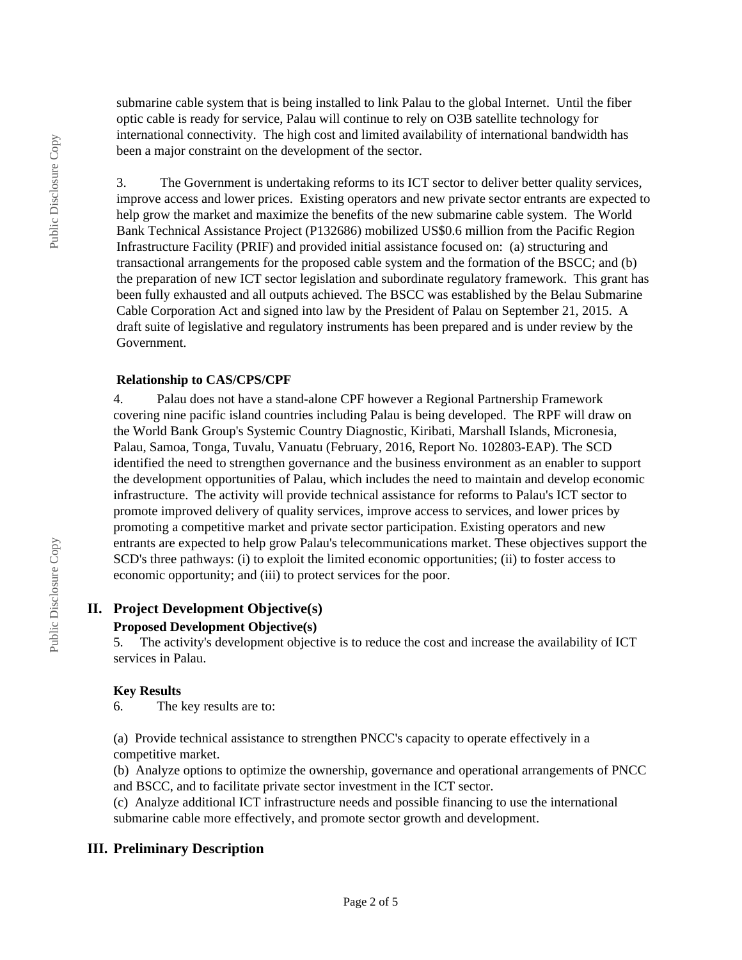submarine cable system that is being installed to link Palau to the global Internet. Until the fiber optic cable is ready for service, Palau will continue to rely on O3B satellite technology for international connectivity. The high cost and limited availability of international bandwidth has been a major constraint on the development of the sector.

3. The Government is undertaking reforms to its ICT sector to deliver better quality services, improve access and lower prices. Existing operators and new private sector entrants are expected to help grow the market and maximize the benefits of the new submarine cable system. The World Bank Technical Assistance Project (P132686) mobilized US\$0.6 million from the Pacific Region Infrastructure Facility (PRIF) and provided initial assistance focused on: (a) structuring and transactional arrangements for the proposed cable system and the formation of the BSCC; and (b) the preparation of new ICT sector legislation and subordinate regulatory framework. This grant has been fully exhausted and all outputs achieved. The BSCC was established by the Belau Submarine Cable Corporation Act and signed into law by the President of Palau on September 21, 2015. A draft suite of legislative and regulatory instruments has been prepared and is under review by the Government.

#### **Relationship to CAS/CPS/CPF**

4. Palau does not have a stand-alone CPF however a Regional Partnership Framework covering nine pacific island countries including Palau is being developed. The RPF will draw on the World Bank Group's Systemic Country Diagnostic, Kiribati, Marshall Islands, Micronesia, Palau, Samoa, Tonga, Tuvalu, Vanuatu (February, 2016, Report No. 102803-EAP). The SCD identified the need to strengthen governance and the business environment as an enabler to support the development opportunities of Palau, which includes the need to maintain and develop economic infrastructure. The activity will provide technical assistance for reforms to Palau's ICT sector to promote improved delivery of quality services, improve access to services, and lower prices by promoting a competitive market and private sector participation. Existing operators and new entrants are expected to help grow Palau's telecommunications market. These objectives support the SCD's three pathways: (i) to exploit the limited economic opportunities; (ii) to foster access to economic opportunity; and (iii) to protect services for the poor.

## **II. Project Development Objective(s)**

#### **Proposed Development Objective(s)**

5. The activity's development objective is to reduce the cost and increase the availability of ICT services in Palau.

#### **Key Results**

6. The key results are to:

(a) Provide technical assistance to strengthen PNCC's capacity to operate effectively in a competitive market.

(b) Analyze options to optimize the ownership, governance and operational arrangements of PNCC and BSCC, and to facilitate private sector investment in the ICT sector.

(c) Analyze additional ICT infrastructure needs and possible financing to use the international submarine cable more effectively, and promote sector growth and development.

## **III. Preliminary Description**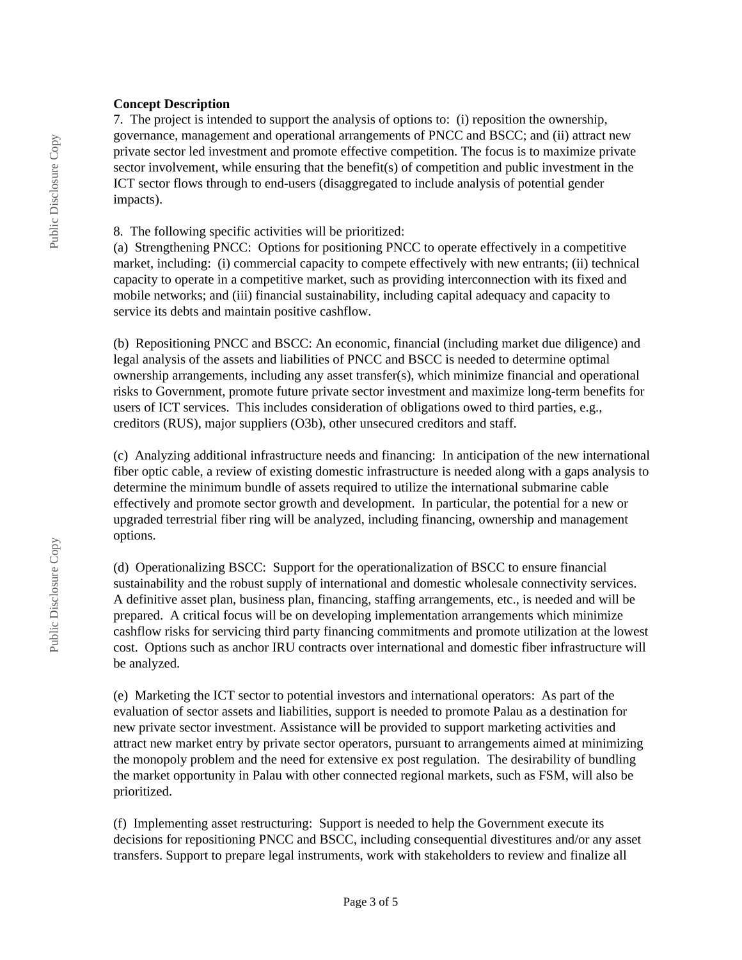#### **Concept Description**

7. The project is intended to support the analysis of options to: (i) reposition the ownership, governance, management and operational arrangements of PNCC and BSCC; and (ii) attract new private sector led investment and promote effective competition. The focus is to maximize private sector involvement, while ensuring that the benefit(s) of competition and public investment in the ICT sector flows through to end-users (disaggregated to include analysis of potential gender impacts).

#### 8. The following specific activities will be prioritized:

(a) Strengthening PNCC: Options for positioning PNCC to operate effectively in a competitive market, including: (i) commercial capacity to compete effectively with new entrants; (ii) technical capacity to operate in a competitive market, such as providing interconnection with its fixed and mobile networks; and (iii) financial sustainability, including capital adequacy and capacity to service its debts and maintain positive cashflow.

(b) Repositioning PNCC and BSCC: An economic, financial (including market due diligence) and legal analysis of the assets and liabilities of PNCC and BSCC is needed to determine optimal ownership arrangements, including any asset transfer(s), which minimize financial and operational risks to Government, promote future private sector investment and maximize long-term benefits for users of ICT services. This includes consideration of obligations owed to third parties, e.g., creditors (RUS), major suppliers (O3b), other unsecured creditors and staff.

(c) Analyzing additional infrastructure needs and financing: In anticipation of the new international fiber optic cable, a review of existing domestic infrastructure is needed along with a gaps analysis to determine the minimum bundle of assets required to utilize the international submarine cable effectively and promote sector growth and development. In particular, the potential for a new or upgraded terrestrial fiber ring will be analyzed, including financing, ownership and management options.

(d) Operationalizing BSCC: Support for the operationalization of BSCC to ensure financial sustainability and the robust supply of international and domestic wholesale connectivity services. A definitive asset plan, business plan, financing, staffing arrangements, etc., is needed and will be prepared. A critical focus will be on developing implementation arrangements which minimize cashflow risks for servicing third party financing commitments and promote utilization at the lowest cost. Options such as anchor IRU contracts over international and domestic fiber infrastructure will be analyzed.

(e) Marketing the ICT sector to potential investors and international operators: As part of the evaluation of sector assets and liabilities, support is needed to promote Palau as a destination for new private sector investment. Assistance will be provided to support marketing activities and attract new market entry by private sector operators, pursuant to arrangements aimed at minimizing the monopoly problem and the need for extensive ex post regulation. The desirability of bundling the market opportunity in Palau with other connected regional markets, such as FSM, will also be prioritized.

(f) Implementing asset restructuring: Support is needed to help the Government execute its decisions for repositioning PNCC and BSCC, including consequential divestitures and/or any asset transfers. Support to prepare legal instruments, work with stakeholders to review and finalize all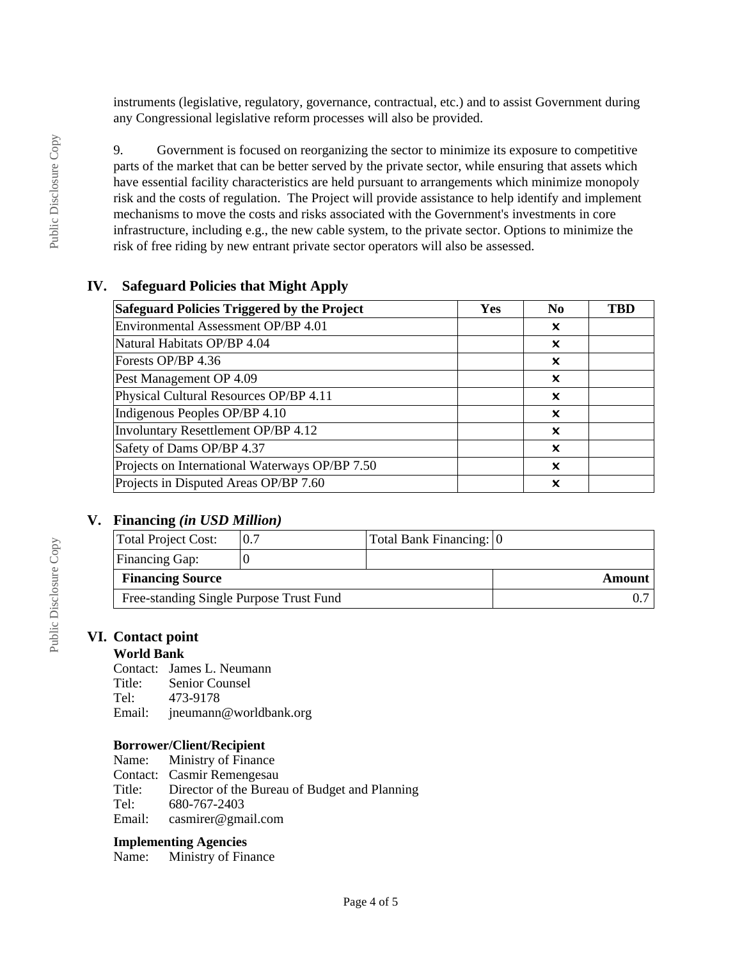instruments (legislative, regulatory, governance, contractual, etc.) and to assist Government during any Congressional legislative reform processes will also be provided.

9. Government is focused on reorganizing the sector to minimize its exposure to competitive parts of the market that can be better served by the private sector, while ensuring that assets which have essential facility characteristics are held pursuant to arrangements which minimize monopoly risk and the costs of regulation. The Project will provide assistance to help identify and implement mechanisms to move the costs and risks associated with the Government's investments in core infrastructure, including e.g., the new cable system, to the private sector. Options to minimize the risk of free riding by new entrant private sector operators will also be assessed.

## **IV. Safeguard Policies that Might Apply**

| Safeguard Policies Triggered by the Project    | Yes | N <sub>0</sub> | <b>TBD</b> |
|------------------------------------------------|-----|----------------|------------|
| Environmental Assessment OP/BP 4.01            |     | x              |            |
| Natural Habitats OP/BP 4.04                    |     | x              |            |
| Forests OP/BP 4.36                             |     | ×              |            |
| Pest Management OP 4.09                        |     | x              |            |
| Physical Cultural Resources OP/BP 4.11         |     | x              |            |
| Indigenous Peoples OP/BP 4.10                  |     | x              |            |
| Involuntary Resettlement OP/BP 4.12            |     | x              |            |
| Safety of Dams OP/BP 4.37                      |     | ×              |            |
| Projects on International Waterways OP/BP 7.50 |     | ×              |            |
| Projects in Disputed Areas OP/BP 7.60          |     | x              |            |

## **V. Financing** *(in USD Million)*

| Total Project Cost:                     | 0.7 | Total Bank Financing: 0 |  |
|-----------------------------------------|-----|-------------------------|--|
| <b>Financing Gap:</b>                   |     |                         |  |
| <b>Financing Source</b>                 |     | Amount                  |  |
| Free-standing Single Purpose Trust Fund |     |                         |  |

## **VI. Contact point**

## **World Bank**

Contact: James L. Neumann

- Title: Senior Counsel
- Tel: 473-9178<br>Email: ineumann
- jneumann@worldbank.org

## **Borrower/Client/Recipient**

Name: Ministry of Finance Contact: Casmir Remengesau<br>Title: Director of the Burea Director of the Bureau of Budget and Planning Tel: 680-767-2403<br>Email: casmirer@gma casmirer@gmail.com

## **Implementing Agencies**

Name: Ministry of Finance